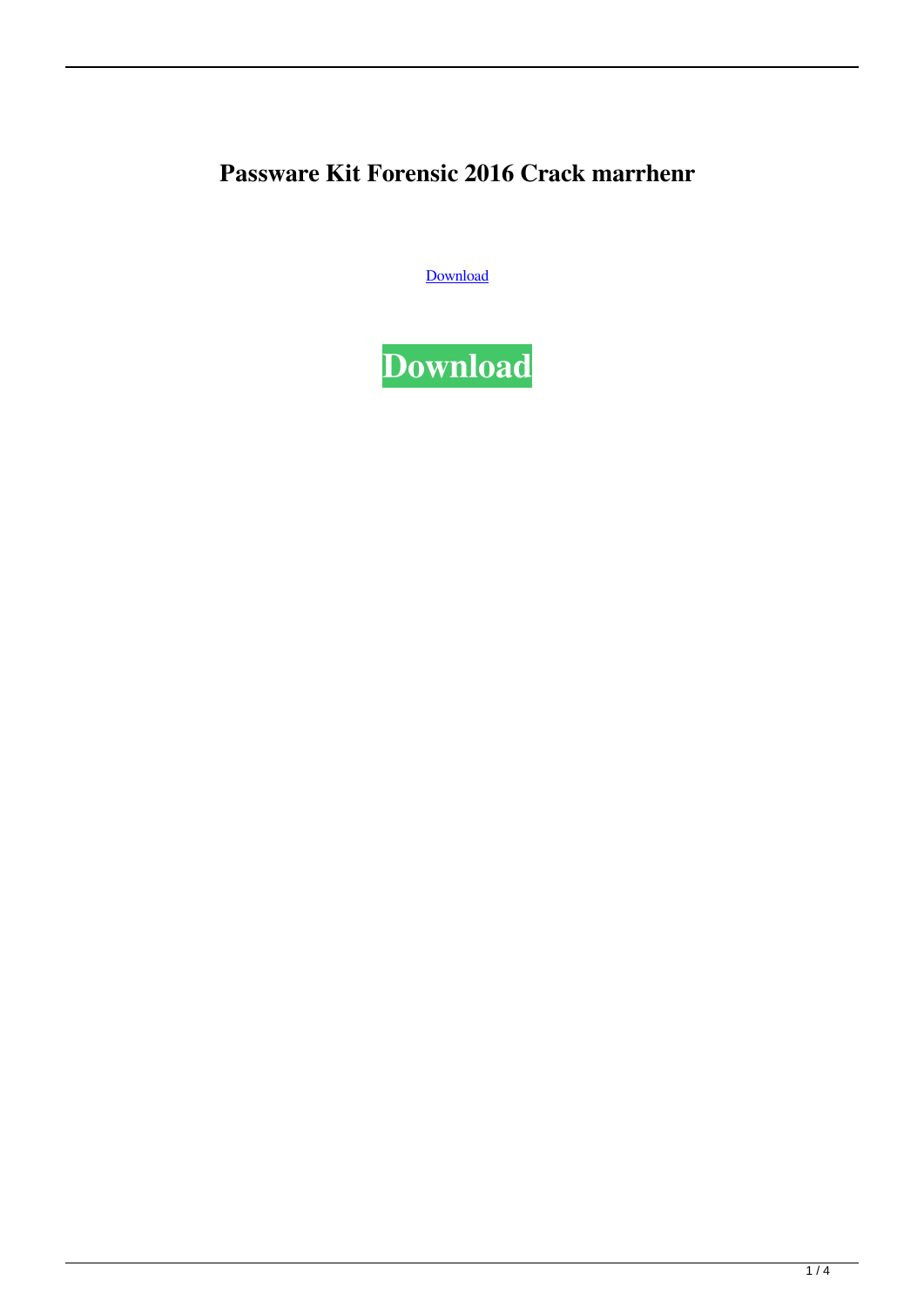## **Passware Kit Forensic 2016 Crack marrhenr**

[Download](http://evacdir.com/cGFzc3dhcmUga2l0IGZvcmVuc2ljIDIwMTYgY3JhY2scGF/cooling?hedlund=tinkling=conclusive=mildew.ZG93bmxvYWR8aDVBTjJ4NWZId3hOalV5TkRZek1EVXdmSHd5TlRjMGZId29UU2tnY21WaFpDMWliRzluSUZ0R1lYTjBJRWRGVGww)

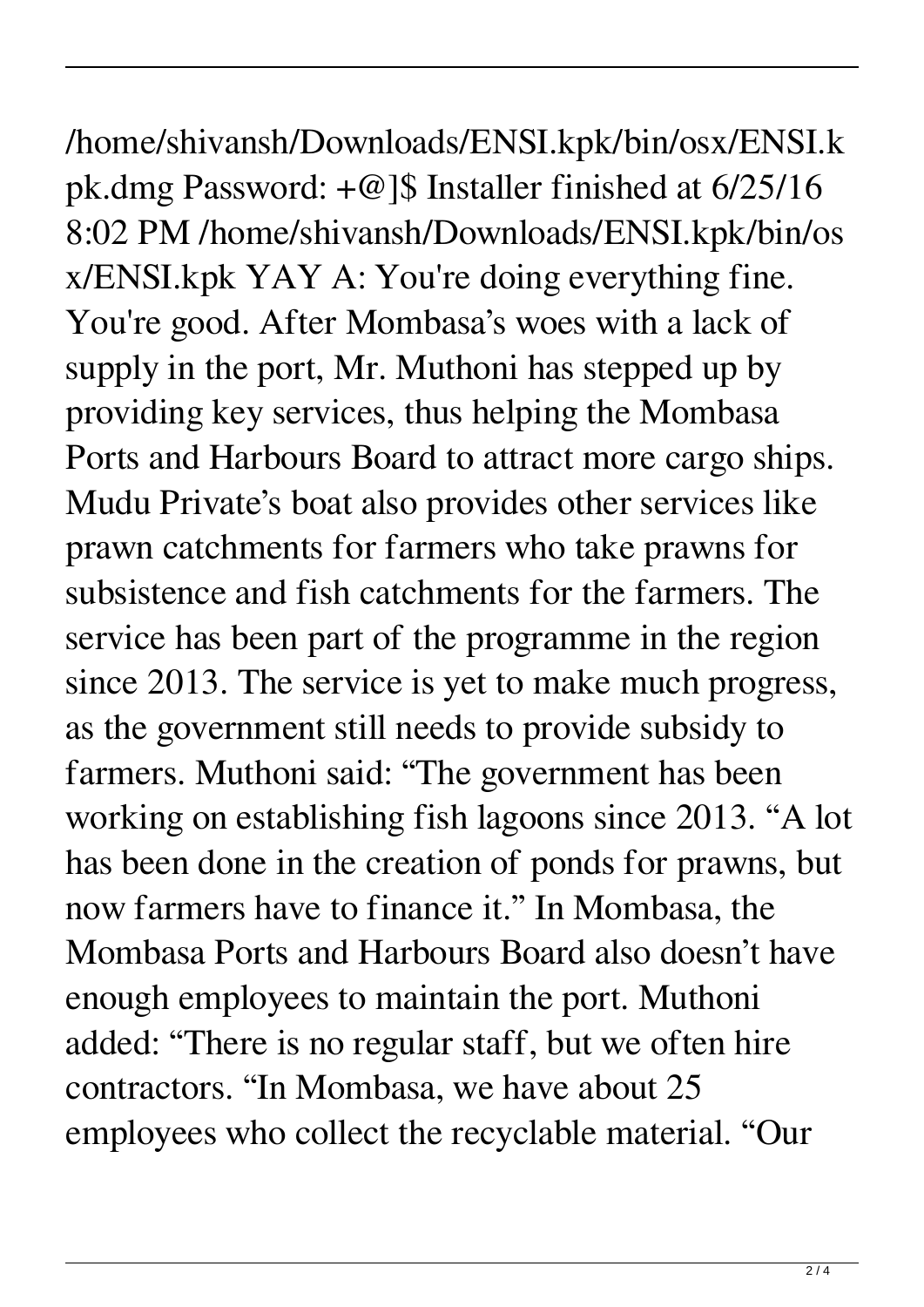/home/shivansh/Downloads/ENSI.kpk/bin/osx/ENSI.k pk.dmg Password: +@]\$ Installer finished at 6/25/16 8:02 PM /home/shivansh/Downloads/ENSI.kpk/bin/os x/ENSI.kpk YAY A: You're doing everything fine. You're good. After Mombasa's woes with a lack of supply in the port, Mr. Muthoni has stepped up by providing key services, thus helping the Mombasa Ports and Harbours Board to attract more cargo ships. Mudu Private's boat also provides other services like prawn catchments for farmers who take prawns for subsistence and fish catchments for the farmers. The service has been part of the programme in the region since 2013. The service is yet to make much progress, as the government still needs to provide subsidy to farmers. Muthoni said: "The government has been working on establishing fish lagoons since 2013. "A lot has been done in the creation of ponds for prawns, but now farmers have to finance it." In Mombasa, the Mombasa Ports and Harbours Board also doesn't have enough employees to maintain the port. Muthoni added: "There is no regular staff, but we often hire contractors. "In Mombasa, we have about 25 employees who collect the recyclable material. "Our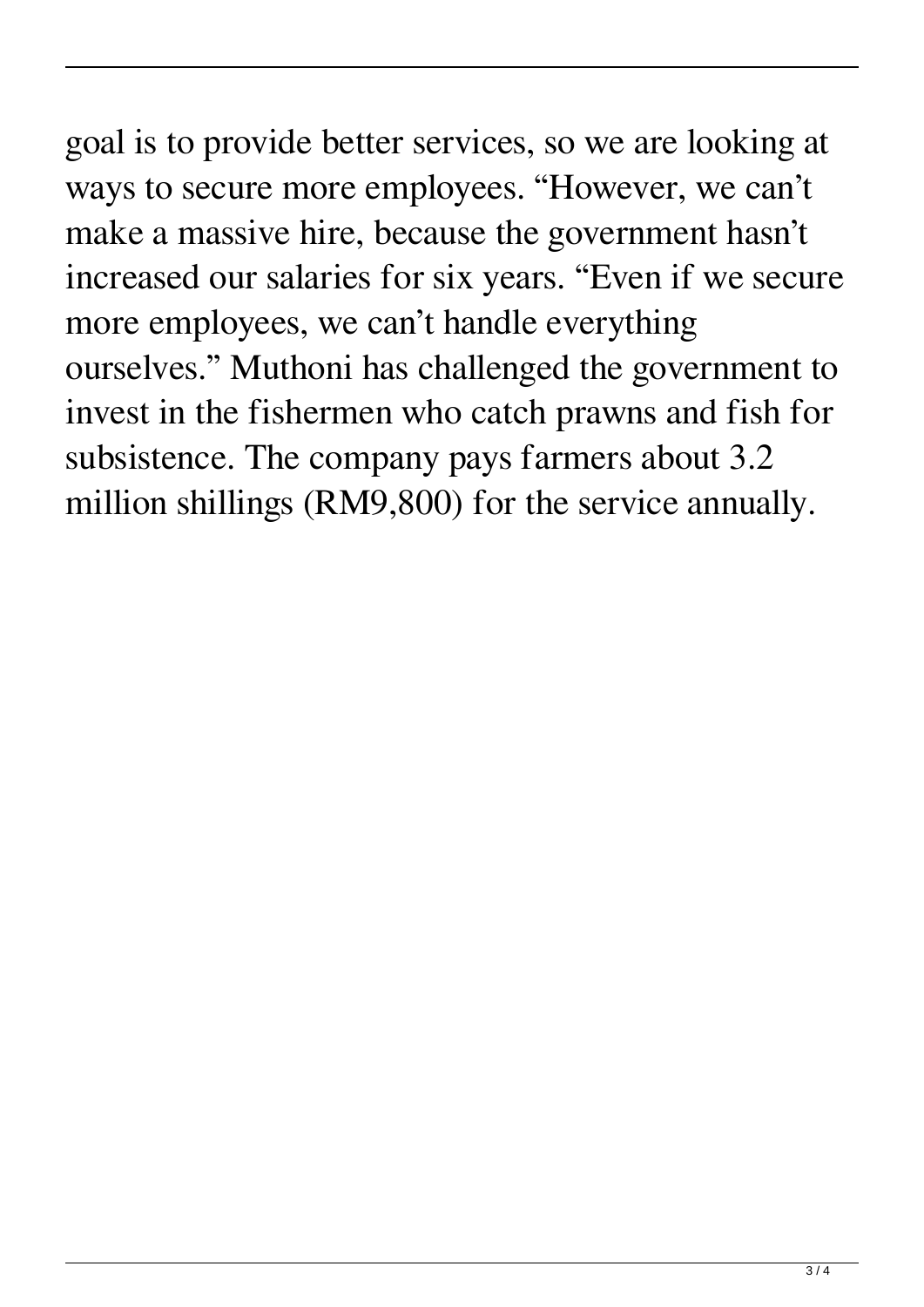goal is to provide better services, so we are looking at ways to secure more employees. "However, we can't make a massive hire, because the government hasn't increased our salaries for six years. "Even if we secure more employees, we can't handle everything ourselves." Muthoni has challenged the government to invest in the fishermen who catch prawns and fish for subsistence. The company pays farmers about 3.2 million shillings (RM9,800) for the service annually.